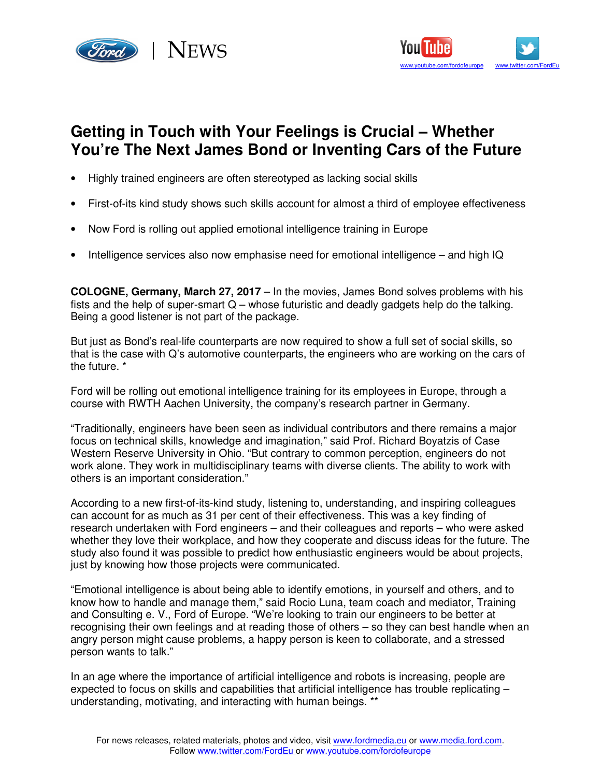



## **Getting in Touch with Your Feelings is Crucial – Whether You're The Next James Bond or Inventing Cars of the Future**

- Highly trained engineers are often stereotyped as lacking social skills
- First-of-its kind study shows such skills account for almost a third of employee effectiveness
- Now Ford is rolling out applied emotional intelligence training in Europe
- Intelligence services also now emphasise need for emotional intelligence and high IQ

**COLOGNE, Germany, March 27, 2017** – In the movies, James Bond solves problems with his fists and the help of super-smart  $Q$  – whose futuristic and deadly gadgets help do the talking. Being a good listener is not part of the package.

But just as Bond's real-life counterparts are now required to show a full set of social skills, so that is the case with Q's automotive counterparts, the engineers who are working on the cars of the future. \*

Ford will be rolling out emotional intelligence training for its employees in Europe, through a course with RWTH Aachen University, the company's research partner in Germany.

"Traditionally, engineers have been seen as individual contributors and there remains a major focus on technical skills, knowledge and imagination," said Prof. Richard Boyatzis of Case Western Reserve University in Ohio. "But contrary to common perception, engineers do not work alone. They work in multidisciplinary teams with diverse clients. The ability to work with others is an important consideration."

According to a new first-of-its-kind study, listening to, understanding, and inspiring colleagues can account for as much as 31 per cent of their effectiveness. This was a key finding of research undertaken with Ford engineers – and their colleagues and reports – who were asked whether they love their workplace, and how they cooperate and discuss ideas for the future. The study also found it was possible to predict how enthusiastic engineers would be about projects, just by knowing how those projects were communicated.

"Emotional intelligence is about being able to identify emotions, in yourself and others, and to know how to handle and manage them," said Rocio Luna, team coach and mediator, Training and Consulting e. V., Ford of Europe. "We're looking to train our engineers to be better at recognising their own feelings and at reading those of others – so they can best handle when an angry person might cause problems, a happy person is keen to collaborate, and a stressed person wants to talk."

In an age where the importance of artificial intelligence and robots is increasing, people are expected to focus on skills and capabilities that artificial intelligence has trouble replicating – understanding, motivating, and interacting with human beings. \*\*